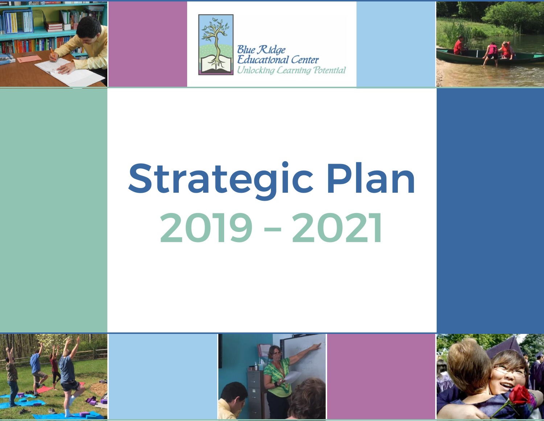



**Blue Ridge Educational Center Jnlocking Cearning Potential** 



# Strategic Plan 2019 – 2021





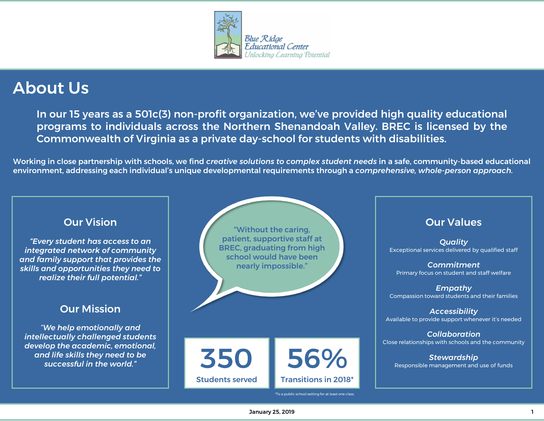

## About Us

In our 15 years as a 501c(3) non-profit organization, we've provided high quality educational programs to individuals across the Northern Shenandoah Valley. BREC is licensed by the Commonwealth of Virginia as a private day-school for students with disabilities.

Working in close partnership with schools, we find *creative solutions to complex student needs* in a safe, community-based educational environment, addressing each individual's unique developmental requirements through a *comprehensive, whole-person approach.*

#### Our Vision

*"Every student has access to an integrated network of community and family support that provides the skills and opportunities they need to realize their full potential."*

#### Our Mission

*"We help emotionally and intellectually challenged students develop the academic, emotional, and life skills they need to be successful in the world."*

"Without the caring, patient, supportive staff at BREC, graduating from high school would have been nearly impossible."

Our Values

*Quality* Exceptional services delivered by qualified staff

*Commitment* Primary focus on student and staff welfare

*Empathy* Compassion toward students and their families

*Accessibility* Available to provide support whenever it's needed

*Collaboration* Close relationships with schools and the community

*Stewardship* Responsible management and use of funds

\*To a public school setting for at least one class.

56%

Transitions in 2018\*

350

Students served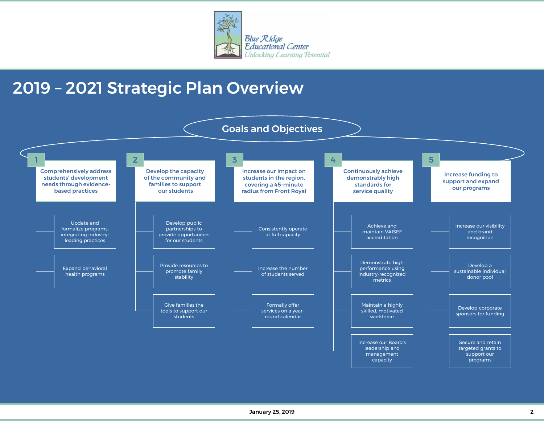

## 2019 – 2021 Strategic Plan Overview

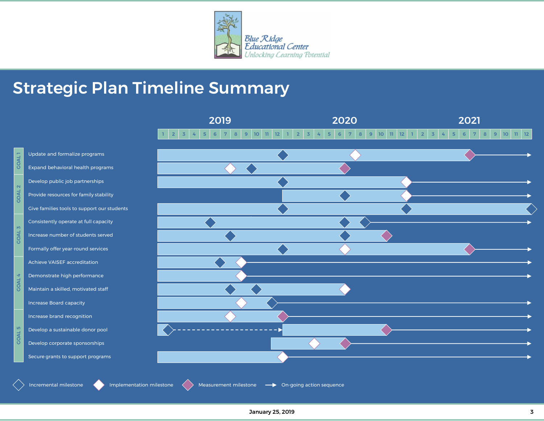

2019 2020 2021

## Strategic Plan Timeline Summary

GOAL 1

GOAL 2

COAL<sub>3</sub>

GOAL 4 GOAL 5 GOAL4 GOAL 3

GOAL 5

|                                                   | $\overline{2}$<br>$\overline{3}$<br>$\sqrt{5}$<br>T.<br>4 | 10 <sup>°</sup><br>$6\overline{6}$<br>$\overline{7}$<br>8<br>9 | 12<br>$\overline{2}$<br>$\overline{3}$<br>$\mathbf{H}$ | $\overline{5}$<br>8<br>$6\phantom{1}6$<br>$\overline{7}$<br>4 | $\mathbf{H}$<br>12<br>9<br>10 <sup>°</sup> | $\overline{2}$<br>$\overline{3}$<br>4 | 5<br>6<br>$\overline{7}$ | 8 <sup>°</sup><br>9 | 10 <sup>°</sup><br>$11$ 12 |
|---------------------------------------------------|-----------------------------------------------------------|----------------------------------------------------------------|--------------------------------------------------------|---------------------------------------------------------------|--------------------------------------------|---------------------------------------|--------------------------|---------------------|----------------------------|
| Update and formalize programs                     |                                                           |                                                                |                                                        |                                                               |                                            |                                       |                          |                     |                            |
| Expand behavioral health programs                 |                                                           |                                                                |                                                        |                                                               |                                            |                                       |                          |                     |                            |
| Develop public job partnerships                   |                                                           |                                                                |                                                        |                                                               |                                            |                                       |                          |                     |                            |
| Provide resources for family stability            |                                                           |                                                                |                                                        |                                                               |                                            |                                       |                          |                     |                            |
| Give families tools to support our students       |                                                           |                                                                |                                                        |                                                               |                                            |                                       |                          |                     |                            |
| Consistently operate at full capacity             |                                                           |                                                                |                                                        |                                                               |                                            |                                       |                          |                     |                            |
| Increase number of students served                |                                                           |                                                                |                                                        |                                                               |                                            |                                       |                          |                     |                            |
| Formally offer year-round services                |                                                           |                                                                |                                                        |                                                               |                                            |                                       |                          |                     |                            |
| Achieve VAISEF accreditation                      |                                                           |                                                                |                                                        |                                                               |                                            |                                       |                          |                     |                            |
| Demonstrate high performance                      |                                                           |                                                                |                                                        |                                                               |                                            |                                       |                          |                     |                            |
| Maintain a skilled, motivated staff               |                                                           |                                                                |                                                        |                                                               |                                            |                                       |                          |                     |                            |
| Increase Board capacity                           |                                                           |                                                                |                                                        |                                                               |                                            |                                       |                          |                     |                            |
| Increase brand recognition                        |                                                           |                                                                |                                                        |                                                               |                                            |                                       |                          |                     |                            |
| Develop a sustainable donor pool                  |                                                           |                                                                |                                                        |                                                               |                                            |                                       |                          |                     |                            |
| Develop corporate sponsorships                    |                                                           |                                                                |                                                        |                                                               |                                            |                                       |                          |                     |                            |
| Secure grants to support programs                 |                                                           |                                                                |                                                        |                                                               |                                            |                                       |                          |                     |                            |
|                                                   |                                                           |                                                                |                                                        |                                                               |                                            |                                       |                          |                     |                            |
| Implementation milestone<br>Incremental milestone |                                                           | Measurement milestone                                          | → On-going action sequence                             |                                                               |                                            |                                       |                          |                     |                            |

January 25, 2019 3